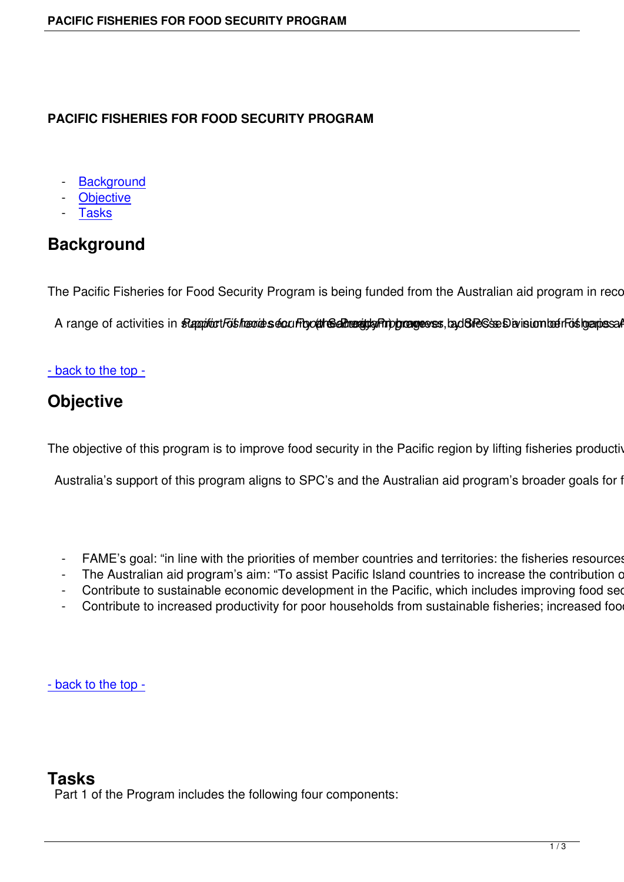#### **PACIFIC FISHERIES FOR FOOD SECURITY PROGRAM**

- **Background**
- **Objective**
- **Tasks**

## **Bac[kgroun](#tabs-2)[d](#tabs-1)**

The Pacific Fisheries for Food Security Program is being funded from the Australian aid program in recognition

A range of activities in stappfort Foishoundes security of the admosphage of activities in stappfort and a range of activities in stappfort for the security of the control of the control of the control of the control of th

#### - back to the top -

## **Objective**

The objective of this program is to improve food security in the Pacific region by lifting fisheries productivity

Australia's support of this program aligns to SPC's and the Australian aid program's broader goals for fish

- FAME's goal: "in line with the priorities of member countries and territories: the fisheries resources of
- The Australian aid program's aim: "To assist Pacific Island countries to increase the contribution of fist-
- Contribute to sustainable economic development in the Pacific, which includes improving food securi
- Contribute to increased productivity for poor households from sustainable fisheries; increased food p

- back to the top -

#### **Tasks**

Part 1 of the Program includes the following four components: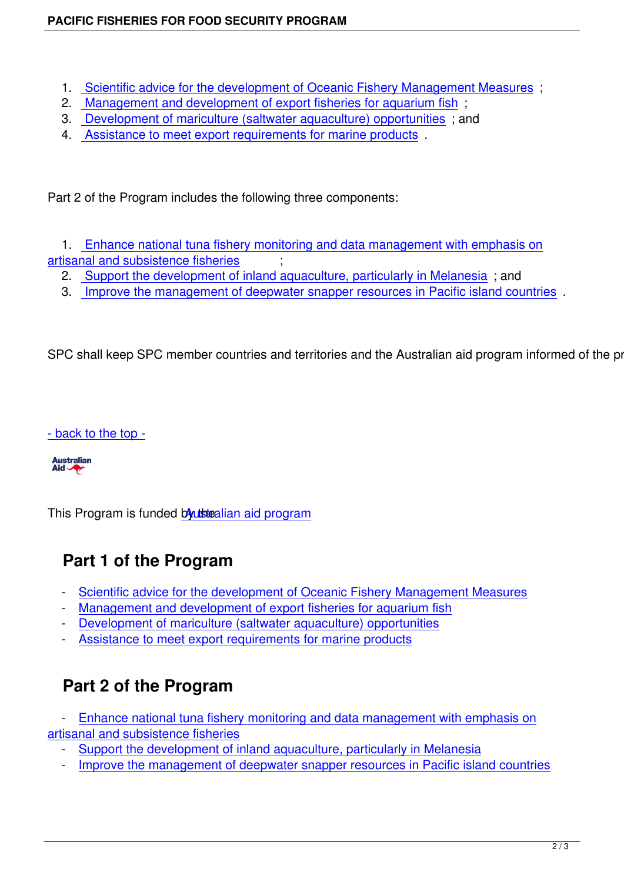- 1. Scientific advice for the development of Oceanic Fishery Management Measures ;
- 2. Management and development of export fisheries for aquarium fish ;
- 3. Development of mariculture (saltwater aquaculture) opportunities ; and
- 4. [Assistance to meet export requirements for marine products](en/projects/fisheries-fo-food-security/scientific-advice-for-the-development-of-oceanic-fishery-management-measures) .

Part 2 [of the Program includes the following three components:](en/projects/fisheries-fo-food-security/assistance-to-meet-export-requirements-for-marine-products)

 1. Enhance national tuna fishery monitoring and data management with emphasis on artisanal and subsistence fisheries ;

- 2. Support the development of inland aquaculture, particularly in Melanesia; and
- 3. [Improve the management of deepwater snapper resources in Pacific island countri](en/projects/fisheries-fo-food-security/enhancing-national-tuna-fishery-monitoring)es .

SPC [shall keep SPC member countries and territories and the Australian aid program inform](en/projects/fisheries-fo-food-security/improving-the-mgt-of-deepwater-snapper-resources)ed of the property

- back to the top -

**Australian** Aid **A** 

This Program is funded boustealian aid program

# **Part 1 of the P[rogram](http://aid.dfat.gov.au/Pages/home.aspx)**

- Scientific advice for the development of Oceanic Fishery Management Measures
- Management and development of export fisheries for aquarium fish
- Development of mariculture (saltwater aquaculture) opportunities
- [Assistance to meet export requirements for marine products](en/projects/fisheries-fo-food-security/scientific-advice-for-the-development-of-oceanic-fishery-management-measures)

# **P[art 2 of the Program](en/projects/fisheries-fo-food-security/assistance-to-meet-export-requirements-for-marine-products)**

- Enhance national tuna fishery monitoring and data management with emphasis on artisanal and subsistence fisheries

- Support the development of inland aquaculture, particularly in Melanesia
- [Improve the management of deepwater snapper resources in Pacific island countri](en/projects/fisheries-fo-food-security/enhancing-national-tuna-fishery-monitoring)es